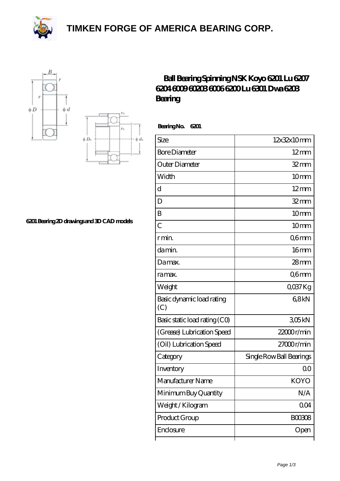**[TIMKEN FORGE OF AMERICA BEARING CORP.](https://black-forest-adventures.de)**







## **[6201 Bearing 2D drawings and 3D CAD models](https://black-forest-adventures.de/pic-807343.html)**

## **[Ball Bearing Spinning NSK Koyo 6201 Lu 6207](https://black-forest-adventures.de/koyo-6201-bearing/) [6204 6009 60203 6006 6200 Lu 6301 Dwa 6203](https://black-forest-adventures.de/koyo-6201-bearing/) [Bearing](https://black-forest-adventures.de/koyo-6201-bearing/)**

 **Bearing No. 6201**

| Size                             | 12x32x10mm               |
|----------------------------------|--------------------------|
| <b>Bore Diameter</b>             | $12 \text{mm}$           |
| Outer Diameter                   | $32$ mm                  |
| Width                            | 10mm                     |
| d                                | $12 \text{mm}$           |
| D                                | $32 \text{mm}$           |
| B                                | 10 <sub>mm</sub>         |
| $\overline{C}$                   | 10 <sub>mm</sub>         |
| r min.                           | Q6mm                     |
| da min.                          | 16mm                     |
| Damax.                           | $28$ mm                  |
| ra max.                          | Q6mm                     |
| Weight                           | QO37Kg                   |
| Basic dynamic load rating<br>(C) | 68kN                     |
| Basic static load rating (CO)    | 305kN                    |
| (Grease) Lubrication Speed       | 22000r/min               |
| (Oil) Lubrication Speed          | 27000r/min               |
| Category                         | Single Row Ball Bearings |
| Inventory                        | 00                       |
| Manufacturer Name                | <b>KOYO</b>              |
| Minimum Buy Quantity             | N/A                      |
| Weight / Kilogram                | 0 <sub>O</sub> 4         |
| Product Group                    | BOO3O8                   |
| Enclosure                        | Open                     |
|                                  |                          |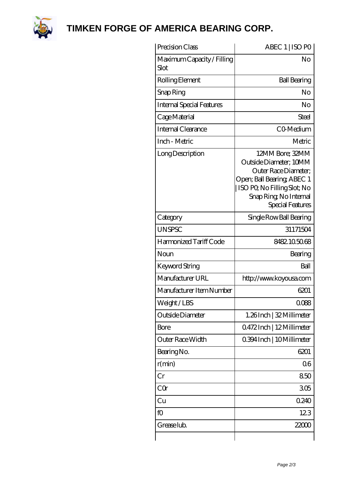

**[TIMKEN FORGE OF AMERICA BEARING CORP.](https://black-forest-adventures.de)**

| Precision Class                    | ABEC 1   ISO PO                                                                                                                                                              |
|------------------------------------|------------------------------------------------------------------------------------------------------------------------------------------------------------------------------|
| Maximum Capacity / Filling<br>Slot | No                                                                                                                                                                           |
| Rolling Element                    | <b>Ball Bearing</b>                                                                                                                                                          |
| Snap Ring                          | No                                                                                                                                                                           |
| <b>Internal Special Features</b>   | No                                                                                                                                                                           |
| Cage Material                      | Steel                                                                                                                                                                        |
| Internal Clearance                 | CO-Medium                                                                                                                                                                    |
| Inch - Metric                      | Metric                                                                                                                                                                       |
| Long Description                   | 12MM Bore; 32MM<br>Outside Diameter; 10MM<br>Outer Race Diameter;<br>Open; Ball Bearing; ABEC 1<br>ISO PO, No Filling Slot; No<br>Snap Ring, No Internal<br>Special Features |
| Category                           | Single Row Ball Bearing                                                                                                                                                      |
| <b>UNSPSC</b>                      | 31171504                                                                                                                                                                     |
| Harmonized Tariff Code             | 8482105068                                                                                                                                                                   |
| Noun                               | Bearing                                                                                                                                                                      |
| Keyword String                     | Ball                                                                                                                                                                         |
| Manufacturer URL                   | http://www.koyousa.com                                                                                                                                                       |
| Manufacturer Item Number           | 6201                                                                                                                                                                         |
| Weight/LBS                         | 0088                                                                                                                                                                         |
| Outside Diameter                   | 1.26Inch   32 Millimeter                                                                                                                                                     |
| Bore                               | 0472Inch   12Millimeter                                                                                                                                                      |
| Outer Race Width                   | 0.394 Inch   10 Millimeter                                                                                                                                                   |
| Bearing No.                        | 6201                                                                                                                                                                         |
| r(min)                             | 06                                                                                                                                                                           |
| Cr                                 | 850                                                                                                                                                                          |
| CQr                                | 305                                                                                                                                                                          |
| Cu                                 | 0.240                                                                                                                                                                        |
| fO                                 | 123                                                                                                                                                                          |
| Grease lub.                        | 22000                                                                                                                                                                        |
|                                    |                                                                                                                                                                              |